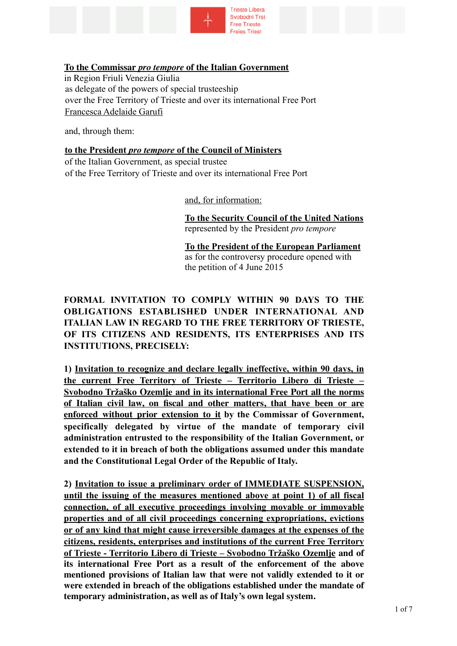

### **To the Commissar** *pro tempore* **of the Italian Government**

in Region Friuli Venezia Giulia as delegate of the powers of special trusteeship over the Free Territory of Trieste and over its international Free Port Francesca Adelaide Garufi

and, through them:

# **to the President** *pro tempore* **of the Council of Ministers**

of the Italian Government, as special trustee of the Free Territory of Trieste and over its international Free Port

and, for information:

**To the Security Council of the United Nations**  represented by the President *pro tempore*

**To the President of the European Parliament**  as for the controversy procedure opened with the petition of 4 June 2015

## **FORMAL INVITATION TO COMPLY WITHIN 90 DAYS TO THE OBLIGATIONS ESTABLISHED UNDER INTERNATIONAL AND ITALIAN LAW IN REGARD TO THE FREE TERRITORY OF TRIESTE, OF ITS CITIZENS AND RESIDENTS, ITS ENTERPRISES AND ITS INSTITUTIONS, PRECISELY:**

**1) Invitation to recognize and declare legally ineffective, within 90 days, in the current Free Territory of Trieste – Territorio Libero di Trieste – Svobodno Tržaško Ozemlje and in its international Free Port all the norms of Italian civil law, on fiscal and other matters, that have been or are enforced without prior extension to it by the Commissar of Government, specifically delegated by virtue of the mandate of temporary civil administration entrusted to the responsibility of the Italian Government, or extended to it in breach of both the obligations assumed under this mandate and the Constitutional Legal Order of the Republic of Italy.** 

**2) Invitation to issue a preliminary order of IMMEDIATE SUSPENSION, until the issuing of the measures mentioned above at point 1) of all fiscal connection, of all executive proceedings involving movable or immovable properties and of all civil proceedings concerning expropriations, evictions or of any kind that might cause irreversible damages at the expenses of the citizens, residents, enterprises and institutions of the current Free Territory of Trieste - Territorio Libero di Trieste – Svobodno Tržaško Ozemlje and of its international Free Port as a result of the enforcement of the above mentioned provisions of Italian law that were not validly extended to it or were extended in breach of the obligations established under the mandate of temporary administration, as well as of Italy's own legal system.**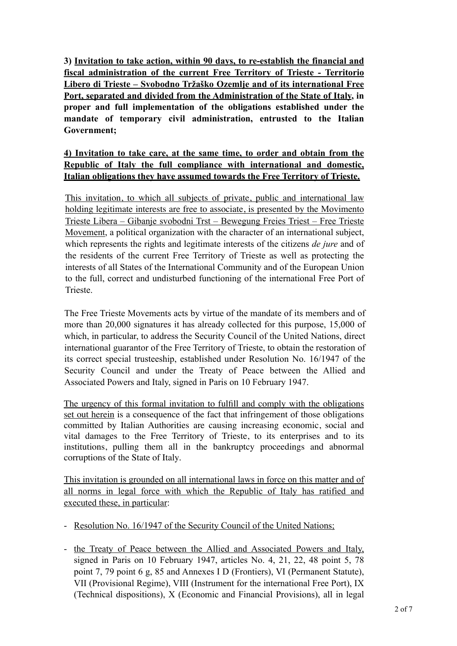**3) Invitation to take action, within 90 days, to re-establish the financial and fiscal administration of the current Free Territory of Trieste - Territorio Libero di Trieste – Svobodno Tržaško Ozemlje and of its international Free Port, separated and divided from the Administration of the State of Italy, in proper and full implementation of the obligations established under the mandate of temporary civil administration, entrusted to the Italian Government;**

## **4) Invitation to take care, at the same time, to order and obtain from the Republic of Italy the full compliance with international and domestic, Italian obligations they have assumed towards the Free Territory of Trieste.**

This invitation, to which all subjects of private, public and international law holding legitimate interests are free to associate, is presented by the Movimento Trieste Libera – Gibanje svobodni Trst – Bewegung Freies Triest – Free Trieste Movement, a political organization with the character of an international subject, which represents the rights and legitimate interests of the citizens *de jure* and of the residents of the current Free Territory of Trieste as well as protecting the interests of all States of the International Community and of the European Union to the full, correct and undisturbed functioning of the international Free Port of Trieste.

The Free Trieste Movements acts by virtue of the mandate of its members and of more than 20,000 signatures it has already collected for this purpose, 15,000 of which, in particular, to address the Security Council of the United Nations, direct international guarantor of the Free Territory of Trieste, to obtain the restoration of its correct special trusteeship, established under Resolution No. 16/1947 of the Security Council and under the Treaty of Peace between the Allied and Associated Powers and Italy, signed in Paris on 10 February 1947.

The urgency of this formal invitation to fulfill and comply with the obligations set out herein is a consequence of the fact that infringement of those obligations committed by Italian Authorities are causing increasing economic, social and vital damages to the Free Territory of Trieste, to its enterprises and to its institutions, pulling them all in the bankruptcy proceedings and abnormal corruptions of the State of Italy.

This invitation is grounded on all international laws in force on this matter and of all norms in legal force with which the Republic of Italy has ratified and executed these, in particular:

- Resolution No. 16/1947 of the Security Council of the United Nations;
- the Treaty of Peace between the Allied and Associated Powers and Italy, signed in Paris on 10 February 1947, articles No. 4, 21, 22, 48 point 5, 78 point 7, 79 point 6 g, 85 and Annexes I D (Frontiers), VI (Permanent Statute), VII (Provisional Regime), VIII (Instrument for the international Free Port), IX (Technical dispositions), X (Economic and Financial Provisions), all in legal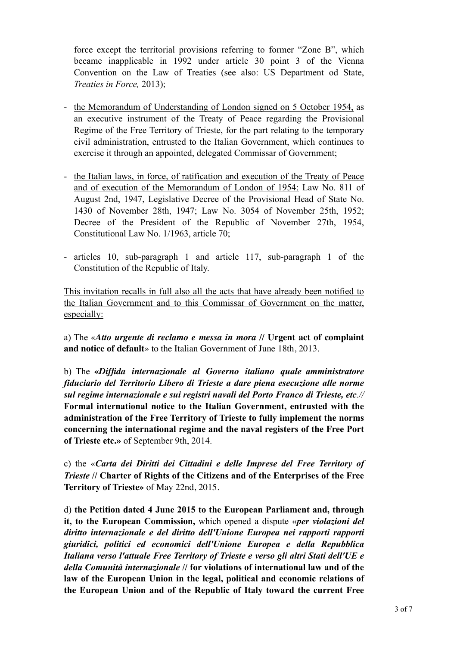force except the territorial provisions referring to former "Zone B", which became inapplicable in 1992 under article 30 point 3 of the Vienna Convention on the Law of Treaties (see also: US Department od State, *Treaties in Force,* 2013);

- the Memorandum of Understanding of London signed on 5 October 1954, as an executive instrument of the Treaty of Peace regarding the Provisional Regime of the Free Territory of Trieste, for the part relating to the temporary civil administration, entrusted to the Italian Government, which continues to exercise it through an appointed, delegated Commissar of Government;
- the Italian laws, in force, of ratification and execution of the Treaty of Peace and of execution of the Memorandum of London of 1954: Law No. 811 of August 2nd, 1947, Legislative Decree of the Provisional Head of State No. 1430 of November 28th, 1947; Law No. 3054 of November 25th, 1952; Decree of the President of the Republic of November 27th, 1954, Constitutional Law No. 1/1963, article 70;
- articles 10, sub-paragraph 1 and article 117, sub-paragraph 1 of the Constitution of the Republic of Italy.

This invitation recalls in full also all the acts that have already been notified to the Italian Government and to this Commissar of Government on the matter, especially:

a) The «*Atto urgente di reclamo e messa in mora* **// Urgent act of complaint and notice of default**» to the Italian Government of June 18th, 2013.

b) The **«***Diffida internazionale al Governo italiano quale amministratore fiduciario del Territorio Libero di Trieste a dare piena esecuzione alle norme sul regime internazionale e sui registri navali del Porto Franco di Trieste, etc.//*  **Formal international notice to the Italian Government, entrusted with the administration of the Free Territory of Trieste to fully implement the norms concerning the international regime and the naval registers of the Free Port of Trieste etc.»** of September 9th, 2014.

c) the «*Carta dei Diritti dei Cittadini e delle Imprese del Free Territory of Trieste* **// Charter of Rights of the Citizens and of the Enterprises of the Free Territory of Trieste»** of May 22nd, 2015.

d) **the Petition dated 4 June 2015 to the European Parliament and, through it, to the European Commission,** which opened a dispute «*per violazioni del diritto internazionale e del diritto dell'Unione Europea nei rapporti rapporti giuridici, politici ed economici dell'Unione Europea e della Repubblica Italiana verso l'attuale Free Territory of Trieste e verso gli altri Stati dell'UE e della Comunità internazionale* **// for violations of international law and of the law of the European Union in the legal, political and economic relations of the European Union and of the Republic of Italy toward the current Free**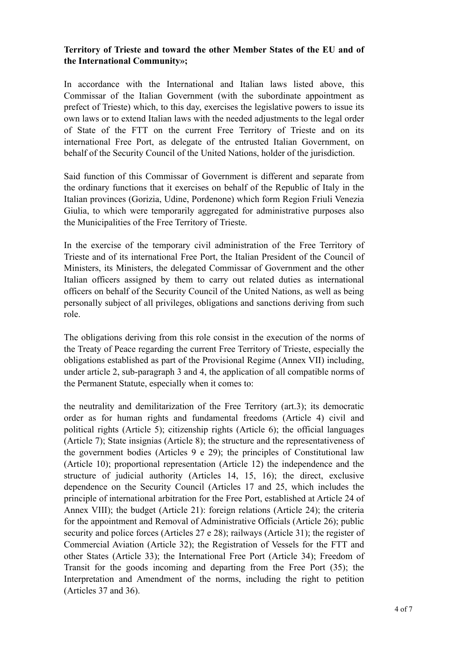### **Territory of Trieste and toward the other Member States of the EU and of the International Community»;**

In accordance with the International and Italian laws listed above, this Commissar of the Italian Government (with the subordinate appointment as prefect of Trieste) which, to this day, exercises the legislative powers to issue its own laws or to extend Italian laws with the needed adjustments to the legal order of State of the FTT on the current Free Territory of Trieste and on its international Free Port, as delegate of the entrusted Italian Government, on behalf of the Security Council of the United Nations, holder of the jurisdiction.

Said function of this Commissar of Government is different and separate from the ordinary functions that it exercises on behalf of the Republic of Italy in the Italian provinces (Gorizia, Udine, Pordenone) which form Region Friuli Venezia Giulia, to which were temporarily aggregated for administrative purposes also the Municipalities of the Free Territory of Trieste.

In the exercise of the temporary civil administration of the Free Territory of Trieste and of its international Free Port, the Italian President of the Council of Ministers, its Ministers, the delegated Commissar of Government and the other Italian officers assigned by them to carry out related duties as international officers on behalf of the Security Council of the United Nations, as well as being personally subject of all privileges, obligations and sanctions deriving from such role.

The obligations deriving from this role consist in the execution of the norms of the Treaty of Peace regarding the current Free Territory of Trieste, especially the obligations established as part of the Provisional Regime (Annex VII) including, under article 2, sub-paragraph 3 and 4, the application of all compatible norms of the Permanent Statute, especially when it comes to:

the neutrality and demilitarization of the Free Territory (art.3); its democratic order as for human rights and fundamental freedoms (Article 4) civil and political rights (Article 5); citizenship rights (Article 6); the official languages (Article 7); State insignias (Article 8); the structure and the representativeness of the government bodies (Articles 9 e 29); the principles of Constitutional law (Article 10); proportional representation (Article 12) the independence and the structure of judicial authority (Articles 14, 15, 16); the direct, exclusive dependence on the Security Council (Articles 17 and 25, which includes the principle of international arbitration for the Free Port, established at Article 24 of Annex VIII); the budget (Article 21): foreign relations (Article 24); the criteria for the appointment and Removal of Administrative Officials (Article 26); public security and police forces (Articles 27 e 28); railways (Article 31); the register of Commercial Aviation (Article 32); the Registration of Vessels for the FTT and other States (Article 33); the International Free Port (Article 34); Freedom of Transit for the goods incoming and departing from the Free Port (35); the Interpretation and Amendment of the norms, including the right to petition (Articles 37 and 36).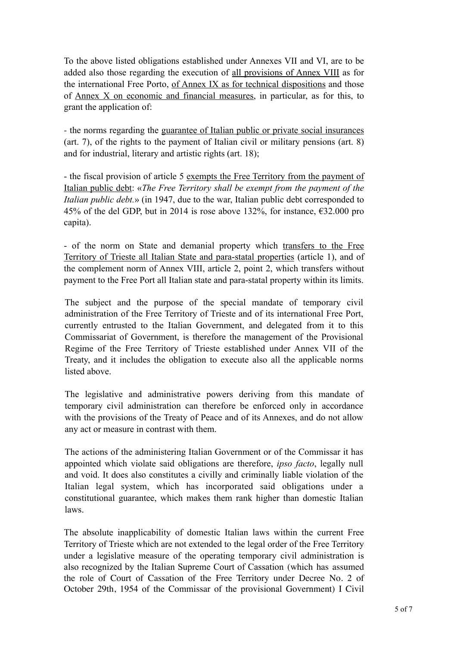To the above listed obligations established under Annexes VII and VI, are to be added also those regarding the execution of all provisions of Annex VIII as for the international Free Porto, of Annex IX as for technical dispositions and those of Annex X on economic and financial measures, in particular, as for this, to grant the application of:

- the norms regarding the guarantee of Italian public or private social insurances (art. 7), of the rights to the payment of Italian civil or military pensions (art. 8) and for industrial, literary and artistic rights (art. 18);

- the fiscal provision of article 5 exempts the Free Territory from the payment of Italian public debt: «*The Free Territory shall be exempt from the payment of the Italian public debt.*» (in 1947, due to the war, Italian public debt corresponded to 45% of the del GDP, but in 2014 is rose above 132%, for instance,  $\epsilon$ 32.000 pro capita).

- of the norm on State and demanial property which transfers to the Free Territory of Trieste all Italian State and para-statal properties (article 1), and of the complement norm of Annex VIII, article 2, point 2, which transfers without payment to the Free Port all Italian state and para-statal property within its limits.

The subject and the purpose of the special mandate of temporary civil administration of the Free Territory of Trieste and of its international Free Port, currently entrusted to the Italian Government, and delegated from it to this Commissariat of Government, is therefore the management of the Provisional Regime of the Free Territory of Trieste established under Annex VII of the Treaty, and it includes the obligation to execute also all the applicable norms listed above.

The legislative and administrative powers deriving from this mandate of temporary civil administration can therefore be enforced only in accordance with the provisions of the Treaty of Peace and of its Annexes, and do not allow any act or measure in contrast with them.

The actions of the administering Italian Government or of the Commissar it has appointed which violate said obligations are therefore, *ipso facto*, legally null and void. It does also constitutes a civilly and criminally liable violation of the Italian legal system, which has incorporated said obligations under a constitutional guarantee, which makes them rank higher than domestic Italian laws.

The absolute inapplicability of domestic Italian laws within the current Free Territory of Trieste which are not extended to the legal order of the Free Territory under a legislative measure of the operating temporary civil administration is also recognized by the Italian Supreme Court of Cassation (which has assumed the role of Court of Cassation of the Free Territory under Decree No. 2 of October 29th, 1954 of the Commissar of the provisional Government) I Civil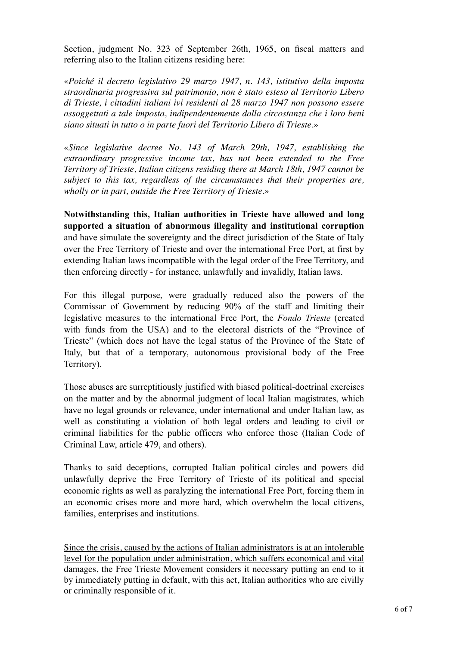Section, judgment No. 323 of September 26th, 1965, on fiscal matters and referring also to the Italian citizens residing here:

«*Poiché il decreto legislativo 29 marzo 1947, n. 143, istitutivo della imposta straordinaria progressiva sul patrimonio, non è stato esteso al Territorio Libero di Trieste, i cittadini italiani ivi residenti al 28 marzo 1947 non possono essere assoggettati a tale imposta, indipendentemente dalla circostanza che i loro beni siano situati in tutto o in parte fuori del Territorio Libero di Trieste.*»

«*Since legislative decree No. 143 of March 29th, 1947, establishing the extraordinary progressive income tax*, *has not been extended to the Free Territory of Trieste, Italian citizens residing there at March 18th, 1947 cannot be subject to this tax, regardless of the circumstances that their properties are, wholly or in part, outside the Free Territory of Trieste.*»

**Notwithstanding this, Italian authorities in Trieste have allowed and long supported a situation of abnormous illegality and institutional corruption** and have simulate the sovereignty and the direct jurisdiction of the State of Italy over the Free Territory of Trieste and over the international Free Port, at first by extending Italian laws incompatible with the legal order of the Free Territory, and then enforcing directly - for instance, unlawfully and invalidly, Italian laws.

For this illegal purpose, were gradually reduced also the powers of the Commissar of Government by reducing 90% of the staff and limiting their legislative measures to the international Free Port, the *Fondo Trieste* (created with funds from the USA) and to the electoral districts of the "Province of Trieste" (which does not have the legal status of the Province of the State of Italy, but that of a temporary, autonomous provisional body of the Free Territory).

Those abuses are surreptitiously justified with biased political-doctrinal exercises on the matter and by the abnormal judgment of local Italian magistrates, which have no legal grounds or relevance, under international and under Italian law, as well as constituting a violation of both legal orders and leading to civil or criminal liabilities for the public officers who enforce those (Italian Code of Criminal Law, article 479, and others).

Thanks to said deceptions, corrupted Italian political circles and powers did unlawfully deprive the Free Territory of Trieste of its political and special economic rights as well as paralyzing the international Free Port, forcing them in an economic crises more and more hard, which overwhelm the local citizens, families, enterprises and institutions.

Since the crisis, caused by the actions of Italian administrators is at an intolerable level for the population under administration, which suffers economical and vital damages, the Free Trieste Movement considers it necessary putting an end to it by immediately putting in default, with this act, Italian authorities who are civilly or criminally responsible of it.